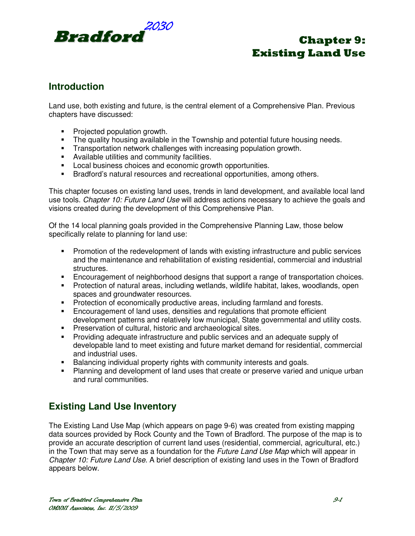

# **Introduction**

Land use, both existing and future, is the central element of a Comprehensive Plan. Previous chapters have discussed:

- Projected population growth.
- The quality housing available in the Township and potential future housing needs.
- **Transportation network challenges with increasing population growth.**
- Available utilities and community facilities.
- **Local business choices and economic growth opportunities.**
- **Bradford's natural resources and recreational opportunities, among others.**

This chapter focuses on existing land uses, trends in land development, and available local land use tools. Chapter 10: Future Land Use will address actions necessary to achieve the goals and visions created during the development of this Comprehensive Plan.

Of the 14 local planning goals provided in the Comprehensive Planning Law, those below specifically relate to planning for land use:

- Promotion of the redevelopment of lands with existing infrastructure and public services and the maintenance and rehabilitation of existing residential, commercial and industrial structures.
- Encouragement of neighborhood designs that support a range of transportation choices.
- Protection of natural areas, including wetlands, wildlife habitat, lakes, woodlands, open spaces and groundwater resources.
- **Protection of economically productive areas, including farmland and forests.**
- Encouragement of land uses, densities and regulations that promote efficient development patterns and relatively low municipal, State governmental and utility costs.
- **Preservation of cultural, historic and archaeological sites.**
- Providing adequate infrastructure and public services and an adequate supply of developable land to meet existing and future market demand for residential, commercial and industrial uses.
- Balancing individual property rights with community interests and goals.
- Planning and development of land uses that create or preserve varied and unique urban and rural communities.

# **Existing Land Use Inventory**

The Existing Land Use Map (which appears on page 9-6) was created from existing mapping data sources provided by Rock County and the Town of Bradford. The purpose of the map is to provide an accurate description of current land uses (residential, commercial, agricultural, etc.) in the Town that may serve as a foundation for the *Future Land Use Map* which will appear in Chapter 10: Future Land Use. A brief description of existing land uses in the Town of Bradford appears below.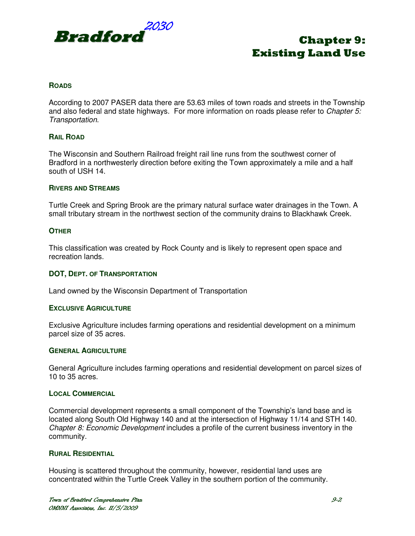

## **ROADS**

According to 2007 PASER data there are 53.63 miles of town roads and streets in the Township and also federal and state highways. For more information on roads please refer to Chapter  $5$ : Transportation.

## **RAIL ROAD**

The Wisconsin and Southern Railroad freight rail line runs from the southwest corner of Bradford in a northwesterly direction before exiting the Town approximately a mile and a half south of USH 14.

#### **RIVERS AND STREAMS**

Turtle Creek and Spring Brook are the primary natural surface water drainages in the Town. A small tributary stream in the northwest section of the community drains to Blackhawk Creek.

## **OTHER**

This classification was created by Rock County and is likely to represent open space and recreation lands.

## **DOT, DEPT. OF TRANSPORTATION**

Land owned by the Wisconsin Department of Transportation

#### **EXCLUSIVE AGRICULTURE**

Exclusive Agriculture includes farming operations and residential development on a minimum parcel size of 35 acres.

### **GENERAL AGRICULTURE**

General Agriculture includes farming operations and residential development on parcel sizes of 10 to 35 acres.

#### **LOCAL COMMERCIAL**

Commercial development represents a small component of the Township's land base and is located along South Old Highway 140 and at the intersection of Highway 11/14 and STH 140. Chapter 8: Economic Development includes a profile of the current business inventory in the community.

#### **RURAL RESIDENTIAL**

Housing is scattered throughout the community, however, residential land uses are concentrated within the Turtle Creek Valley in the southern portion of the community.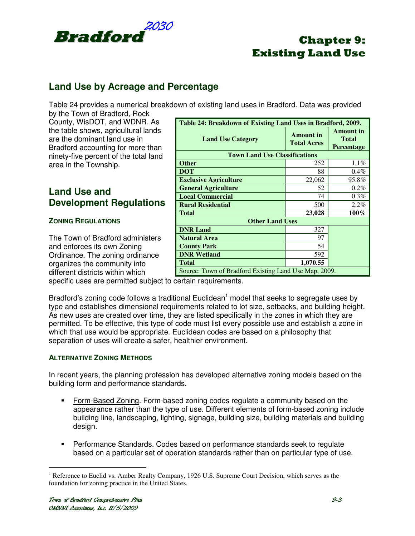

# **Land Use by Acreage and Percentage**

Table 24 provides a numerical breakdown of existing land uses in Bradford. Data was provided

by the Town of Bradford, Rock County, WisDOT, and WDNR. As the table shows, agricultural lands are the dominant land use in Bradford accounting for more than ninety-five percent of the total land area in the Township.

# **Land Use and Development Regulations**

# **ZONING REGULATIONS**

The Town of Bradford administers and enforces its own Zoning Ordinance. The zoning ordinance organizes the community into different districts within which

| Table 24: Breakdown of Existing Land Uses in Bradford, 2009. |                                        |                                                |  |
|--------------------------------------------------------------|----------------------------------------|------------------------------------------------|--|
| <b>Land Use Category</b>                                     | <b>Amount</b> in<br><b>Total Acres</b> | <b>Amount</b> in<br><b>Total</b><br>Percentage |  |
| <b>Town Land Use Classifications</b>                         |                                        |                                                |  |
| <b>Other</b>                                                 | 252                                    | 1.1%                                           |  |
| <b>DOT</b>                                                   | 88                                     | $0.4\%$                                        |  |
| <b>Exclusive Agriculture</b>                                 | 22,062                                 | 95.8%                                          |  |
| <b>General Agriculture</b>                                   | 52                                     | $0.2\%$                                        |  |
| <b>Local Commercial</b>                                      | 74                                     | $0.3\%$                                        |  |
| <b>Rural Residential</b>                                     | 500                                    | 2.2%                                           |  |
| <b>Total</b>                                                 | 23,028                                 | $100\%$                                        |  |
| <b>Other Land Uses</b>                                       |                                        |                                                |  |
| <b>DNR Land</b>                                              | 327                                    |                                                |  |
| <b>Natural Area</b>                                          | 97                                     |                                                |  |
| <b>County Park</b>                                           | 54                                     |                                                |  |
| <b>DNR Wetland</b>                                           | 592                                    |                                                |  |
| <b>Total</b>                                                 | 1,070.55                               |                                                |  |
| Source: Town of Bradford Existing Land Use Map, 2009.        |                                        |                                                |  |

specific uses are permitted subject to certain requirements.

Bradford's zoning code follows a traditional Euclidean<sup>1</sup> model that seeks to segregate uses by type and establishes dimensional requirements related to lot size, setbacks, and building height. As new uses are created over time, they are listed specifically in the zones in which they are permitted. To be effective, this type of code must list every possible use and establish a zone in which that use would be appropriate. Euclidean codes are based on a philosophy that separation of uses will create a safer, healthier environment.

# **ALTERNATIVE ZONING METHODS**

In recent years, the planning profession has developed alternative zoning models based on the building form and performance standards.

- Form-Based Zoning. Form-based zoning codes regulate a community based on the appearance rather than the type of use. Different elements of form-based zoning include building line, landscaping, lighting, signage, building size, building materials and building design.
- Performance Standards. Codes based on performance standards seek to regulate based on a particular set of operation standards rather than on particular type of use.

 $\overline{a}$ 

<sup>&</sup>lt;sup>1</sup> Reference to Euclid vs. Amber Realty Company, 1926 U.S. Supreme Court Decision, which serves as the foundation for zoning practice in the United States.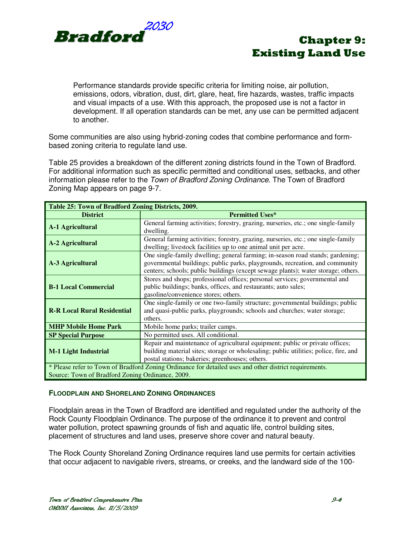

Performance standards provide specific criteria for limiting noise, air pollution, emissions, odors, vibration, dust, dirt, glare, heat, fire hazards, wastes, traffic impacts and visual impacts of a use. With this approach, the proposed use is not a factor in development. If all operation standards can be met, any use can be permitted adjacent to another.

Some communities are also using hybrid-zoning codes that combine performance and formbased zoning criteria to regulate land use.

Table 25 provides a breakdown of the different zoning districts found in the Town of Bradford. For additional information such as specific permitted and conditional uses, setbacks, and other information please refer to the Town of Bradford Zoning Ordinance. The Town of Bradford Zoning Map appears on page 9-7.

| Table 25: Town of Bradford Zoning Districts, 2009.                                                     |                                                                                                                                                                                                                                                     |  |
|--------------------------------------------------------------------------------------------------------|-----------------------------------------------------------------------------------------------------------------------------------------------------------------------------------------------------------------------------------------------------|--|
| <b>District</b>                                                                                        | <b>Permitted Uses*</b>                                                                                                                                                                                                                              |  |
| <b>A-1 Agricultural</b>                                                                                | General farming activities; forestry, grazing, nurseries, etc.; one single-family<br>dwelling.                                                                                                                                                      |  |
| <b>A-2 Agricultural</b>                                                                                | General farming activities; forestry, grazing, nurseries, etc.; one single-family<br>dwelling; livestock facilities up to one animal unit per acre.                                                                                                 |  |
| A-3 Agricultural                                                                                       | One single-family dwelling; general farming; in-season road stands; gardening;<br>governmental buildings; public parks, playgrounds, recreation, and community<br>centers; schools; public buildings (except sewage plants); water storage; others. |  |
| <b>B-1 Local Commercial</b>                                                                            | Stores and shops; professional offices; personal services; governmental and<br>public buildings; banks, offices, and restaurants; auto sales;<br>gasoline/convenience stores; others.                                                               |  |
| <b>R-R Local Rural Residential</b>                                                                     | One single-family or one two-family structure; governmental buildings; public<br>and quasi-public parks, playgrounds; schools and churches; water storage;<br>others.                                                                               |  |
| <b>MHP Mobile Home Park</b>                                                                            | Mobile home parks; trailer camps.                                                                                                                                                                                                                   |  |
| <b>SP Special Purpose</b>                                                                              | No permitted uses. All conditional.                                                                                                                                                                                                                 |  |
| <b>M-1 Light Industrial</b>                                                                            | Repair and maintenance of agricultural equipment; public or private offices;<br>building material sites; storage or wholesaling; public utilities; police, fire, and<br>postal stations; bakeries; greenhouses; others.                             |  |
| * Please refer to Town of Bradford Zoning Ordinance for detailed uses and other district requirements. |                                                                                                                                                                                                                                                     |  |
| Source: Town of Bradford Zoning Ordinance, 2009.                                                       |                                                                                                                                                                                                                                                     |  |

## **FLOODPLAIN AND SHORELAND ZONING ORDINANCES**

Floodplain areas in the Town of Bradford are identified and regulated under the authority of the Rock County Floodplain Ordinance. The purpose of the ordinance it to prevent and control water pollution, protect spawning grounds of fish and aquatic life, control building sites, placement of structures and land uses, preserve shore cover and natural beauty.

The Rock County Shoreland Zoning Ordinance requires land use permits for certain activities that occur adjacent to navigable rivers, streams, or creeks, and the landward side of the 100-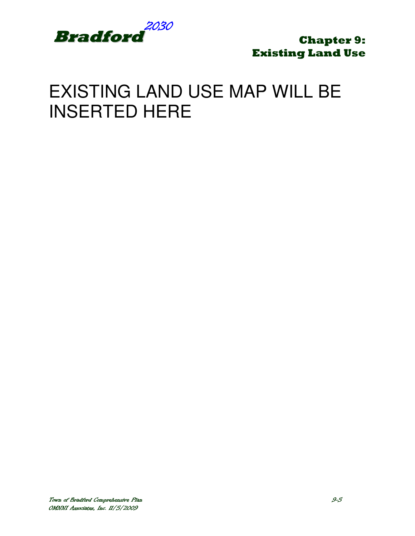

# EXISTING LAND USE MAP WILL BE INSERTED HERE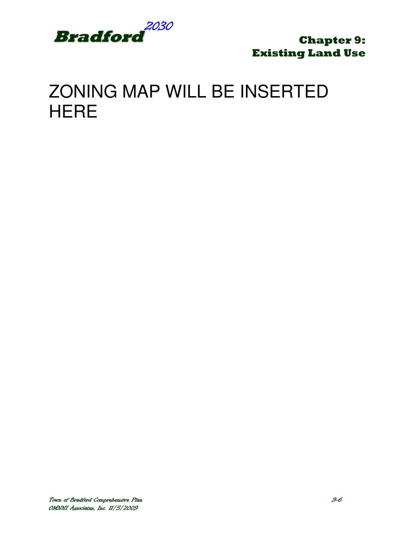

# ZONING MAP WILL BE INSERTED **HERE**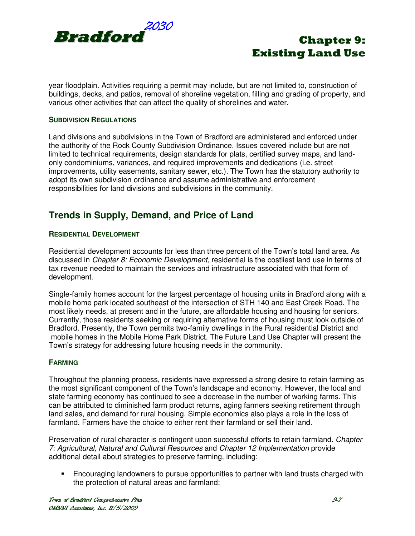

year floodplain. Activities requiring a permit may include, but are not limited to, construction of buildings, decks, and patios, removal of shoreline vegetation, filling and grading of property, and various other activities that can affect the quality of shorelines and water.

## **SUBDIVISION REGULATIONS**

Land divisions and subdivisions in the Town of Bradford are administered and enforced under the authority of the Rock County Subdivision Ordinance. Issues covered include but are not limited to technical requirements, design standards for plats, certified survey maps, and landonly condominiums, variances, and required improvements and dedications (i.e. street improvements, utility easements, sanitary sewer, etc.). The Town has the statutory authority to adopt its own subdivision ordinance and assume administrative and enforcement responsibilities for land divisions and subdivisions in the community.

# **Trends in Supply, Demand, and Price of Land**

## **RESIDENTIAL DEVELOPMENT**

Residential development accounts for less than three percent of the Town's total land area. As discussed in *Chapter 8: Economic Development*, residential is the costliest land use in terms of tax revenue needed to maintain the services and infrastructure associated with that form of development.

Single-family homes account for the largest percentage of housing units in Bradford along with a mobile home park located southeast of the intersection of STH 140 and East Creek Road. The most likely needs, at present and in the future, are affordable housing and housing for seniors. Currently, those residents seeking or requiring alternative forms of housing must look outside of Bradford. Presently, the Town permits two-family dwellings in the Rural residential District and mobile homes in the Mobile Home Park District. The Future Land Use Chapter will present the Town's strategy for addressing future housing needs in the community.

## **FARMING**

Throughout the planning process, residents have expressed a strong desire to retain farming as the most significant component of the Town's landscape and economy. However, the local and state farming economy has continued to see a decrease in the number of working farms. This can be attributed to diminished farm product returns, aging farmers seeking retirement through land sales, and demand for rural housing. Simple economics also plays a role in the loss of farmland. Farmers have the choice to either rent their farmland or sell their land.

Preservation of rural character is contingent upon successful efforts to retain farmland. Chapter 7: Agricultural, Natural and Cultural Resources and Chapter 12 Implementation provide additional detail about strategies to preserve farming, including:

 Encouraging landowners to pursue opportunities to partner with land trusts charged with the protection of natural areas and farmland;